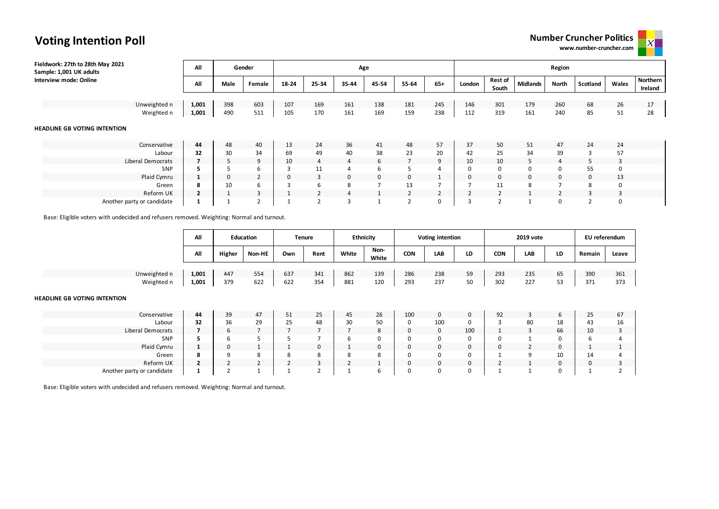## **Number Cruncher Politics**

**www.number-cruncher.com**



| Fieldwork: 27th to 28th May 2021<br>Sample: 1,001 UK adults | All            |      | Gender         |       |                | Age   |       |                   |                |              |                         |                 | Region         |          |          |                     |
|-------------------------------------------------------------|----------------|------|----------------|-------|----------------|-------|-------|-------------------|----------------|--------------|-------------------------|-----------------|----------------|----------|----------|---------------------|
| Interview mode: Online                                      | All            | Male | Female         | 18-24 | 25-34          | 35-44 | 45-54 | 55-64             | $65+$          | London       | <b>Rest of</b><br>South | <b>Midlands</b> | North          | Scotland | Wales    | Northern<br>Ireland |
| Unweighted n                                                | 1,001          | 398  | 603            | 107   | 169            | 161   | 138   | 181               | 245            | 146          | 301                     | 179             | 260            | 68       | 26       | 17                  |
| Weighted n                                                  | 1,001          | 490  | 511            | 105   | 170            | 161   | 169   | 159               | 238            | 112          | 319                     | 161             | 240            | 85       | 51       | 28                  |
| <b>HEADLINE GB VOTING INTENTION</b>                         |                |      |                |       |                |       |       |                   |                |              |                         |                 |                |          |          |                     |
| Conservative                                                | 44             | 48   | 40             | 13    | 24             | 36    | 41    | 48                | 57             | 37           | 50                      | 51              | 47             | 24       | 24       |                     |
| Labour                                                      | 32             | 30   | 34             | 69    | 49             | 40    | 38    | 23                | 20             | 42           | 25                      | 34              | 39             | 3        | 57       |                     |
| Liberal Democrats                                           |                |      | 9              | 10    | 4              | 4     | 6     | $\overline{7}$    | 9              | 10           | 10                      | 5               | $\overline{4}$ |          | 3        |                     |
| SNP                                                         |                |      | 6              | З     | 11             | 4     | 6     | 5                 | 4              | 0            | 0                       | $\mathbf 0$     | $\Omega$       | 55       | $\Omega$ |                     |
| Plaid Cymru                                                 |                | 0    | $\overline{2}$ |       | 3              | 0     | 0     | 0                 | $\mathbf{1}$   | $\mathbf{0}$ | $\mathbf{0}$            | 0               | $\Omega$       | $\Omega$ | 13       |                     |
| Green                                                       | 8              | 10   | 6              | 3     | 6              | 8     | 7     | 13                |                |              | 11                      | 8               | $\overline{ }$ | 8        | 0        |                     |
| Reform UK                                                   | $\overline{2}$ |      | 3              |       | 2              | 4     |       | $\overline{2}$    | $\overline{2}$ |              | $\overline{2}$          |                 |                | 3        | 3        |                     |
| Another party or candidate                                  |                |      | $\overline{2}$ |       | $\overline{2}$ | 3     |       | $\mathbf{\hat{}}$ | 0              |              | $\mathbf{\hat{}}$       |                 |                |          | $\Omega$ |                     |

Base: Eligible voters with undecided and refusers removed. Weighting: Normal and turnout.

**Voting Intention Poll**

|                                                     | All                  |              | <b>Education</b>     |                | <b>Tenure</b>        |            | <b>Ethnicity</b> |                  | <b>Voting intention</b> |          |                | 2019 vote      |          | EU referendum |                |
|-----------------------------------------------------|----------------------|--------------|----------------------|----------------|----------------------|------------|------------------|------------------|-------------------------|----------|----------------|----------------|----------|---------------|----------------|
|                                                     | All                  | Higher       | Non-HE               | Own            | Rent                 | White      | Non-<br>White    | <b>CON</b>       | LAB                     | LD       | <b>CON</b>     | LAB            | LD       | Remain        | Leave          |
|                                                     |                      |              |                      |                |                      |            |                  |                  |                         |          |                |                |          |               |                |
| Unweighted n<br>Weighted n                          | 1,001<br>1,001       | 447<br>379   | 554<br>622           | 637<br>622     | 341<br>354           | 862<br>881 | 139<br>120       | 286<br>293       | 238<br>237              | 59<br>50 | 293<br>302     | 235<br>227     | 65<br>53 | 390<br>371    | 361<br>373     |
| <b>HEADLINE GB VOTING INTENTION</b><br>Conservative | 44                   | 39           | 47                   | 51             | 25                   | 45         | 26               | 100              | $\mathbf{0}$            | 0        | 92             | 3              | 6        | 25            | 67             |
|                                                     |                      |              |                      |                |                      |            |                  |                  |                         |          |                |                |          |               |                |
| Labour<br>Liberal Democrats                         | 32<br>$\overline{7}$ | 36<br>6      | 29<br>$\overline{7}$ | 25             | 48<br>$\overline{7}$ | 30         | 50<br>8          | 0<br>$\mathbf 0$ | 100<br>$\mathbf 0$      | 0<br>100 | 3              | 80<br>3        | 18<br>66 | 43<br>10      | 16<br>3        |
| SNP                                                 | 5                    | 6            |                      |                |                      | 6          | 0                | 0                | 0                       | 0        | 0              |                | 0        | 6             | $\overline{4}$ |
| Plaid Cymru                                         | $\mathbf{1}$         | $\mathbf{0}$ |                      |                | $\mathbf{0}$         |            | $\mathbf 0$      | 0                | 0                       | 0        | $\mathbf 0$    | $\overline{2}$ | 0        |               | $\mathbf{1}$   |
| Green                                               | 8                    | q            | 8                    | 8              | 8                    | 8          | 8                | 0                | 0                       | 0        |                | 9              | 10       | 14            | 4              |
| Reform UK                                           | $\overline{2}$       |              | $\overline{2}$       | $\overline{2}$ | 3                    |            |                  | 0                | 0                       | 0        | $\overline{2}$ | $\mathbf{1}$   | 0        | 0             | 3              |
| Another party or candidate                          | 1                    |              |                      |                | $\sim$<br>ے          |            | 6                | 0                | 0                       | 0        |                | $\mathbf{1}$   | 0        |               | $\overline{2}$ |

Base: Eligible voters with undecided and refusers removed. Weighting: Normal and turnout.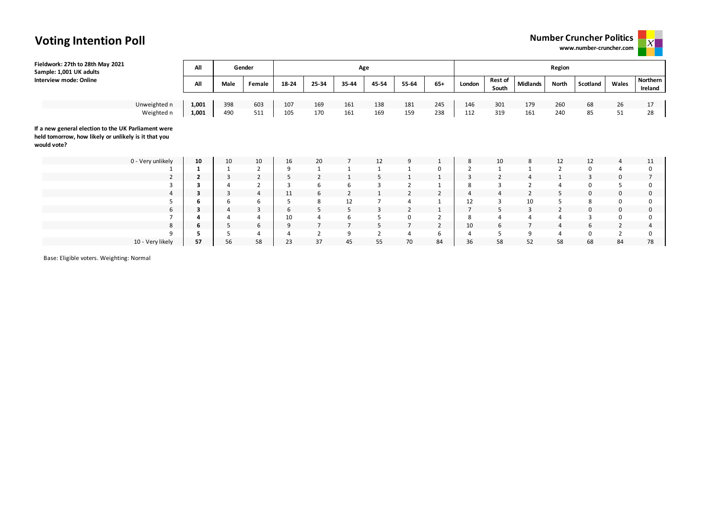| <b>Number Cruncher Politics</b> |  |
|---------------------------------|--|
| www.number-cruncher.com         |  |
|                                 |  |



| Fieldwork: 27th to 28th May 2021<br>Sample: 1,001 UK adults                                                                | All                     |      | Gender         |       |                         | Age   |                |                |                |                |                         |                 | Region         |                |                |                     |
|----------------------------------------------------------------------------------------------------------------------------|-------------------------|------|----------------|-------|-------------------------|-------|----------------|----------------|----------------|----------------|-------------------------|-----------------|----------------|----------------|----------------|---------------------|
| Interview mode: Online                                                                                                     | All                     | Male | Female         | 18-24 | 25-34                   | 35-44 | 45-54          | 55-64          | $65+$          | London         | <b>Rest of</b><br>South | <b>Midlands</b> | North          | Scotland       | Wales          | Northern<br>Ireland |
|                                                                                                                            |                         |      |                |       |                         |       |                |                |                |                |                         |                 |                |                |                |                     |
| Unweighted n                                                                                                               | 1,001                   | 398  | 603            | 107   | 169                     | 161   | 138            | 181            | 245            | 146            | 301                     | 179             | 260            | 68             | 26             | 17                  |
| Weighted n                                                                                                                 | 1,001                   | 490  | 511            | 105   | 170                     | 161   | 169            | 159            | 238            | 112            | 319                     | 161             | 240            | 85             | 51             | 28                  |
| If a new general election to the UK Parliament were<br>held tomorrow, how likely or unlikely is it that you<br>would vote? |                         |      |                |       |                         |       |                |                |                |                |                         |                 |                |                |                |                     |
| 0 - Very unlikely                                                                                                          | 10                      | 10   | 10             | 16    | 20                      |       | 12             | 9              | $\mathbf{1}$   | 8              | 10                      | 8               | 12             | 12             | 4              | 11                  |
|                                                                                                                            | 1                       |      | $\overline{2}$ | 9     | 1                       |       |                |                | 0              | $\overline{2}$ |                         |                 | $\overline{2}$ | 0              | 4              | $\Omega$            |
| 2                                                                                                                          | $\overline{\mathbf{2}}$ | 3    | $\overline{2}$ | 5     | $\overline{2}$          |       |                | $\mathbf{1}$   | 1              | 3              |                         | $\overline{a}$  |                | 3              | $\mathbf{0}$   |                     |
| 3                                                                                                                          | 3                       |      | $\overline{2}$ | 3     | 6                       | 6     | 3              | $\overline{2}$ |                | 8              | 3                       | $\overline{2}$  | $\overline{4}$ | 0              | 5              |                     |
| 4                                                                                                                          | 3                       | 3    | $\overline{4}$ | 11    | 6                       | 2     |                | $\overline{2}$ | $\overline{2}$ | 4              | 4                       | $\overline{2}$  | 5              | 0              | $\mathbf 0$    | $\Omega$            |
|                                                                                                                            | 6                       |      | 6              | 5     | 8                       | 12    |                | $\overline{4}$ |                | 12             |                         | 10              | 5              | 8              | 0              |                     |
| 6                                                                                                                          | 3                       | 4    | 3              | 6     | 5                       | 5     | $\overline{3}$ | $\overline{2}$ |                | $\overline{ }$ | 5                       | 3               | $\overline{2}$ | 0              | 0              | $\Omega$            |
|                                                                                                                            | 4                       |      | $\overline{4}$ | 10    | 4                       | 6     |                | 0              | $\overline{2}$ | 8              |                         |                 | $\overline{4}$ | $\overline{3}$ | 0              |                     |
| 8                                                                                                                          | 6                       | 5    | 6              | 9     |                         |       | 5.             | $\overline{7}$ | $\overline{2}$ | 10             | 6                       |                 | $\overline{4}$ | 6              | $\overline{2}$ |                     |
| 9                                                                                                                          |                         |      | $\overline{4}$ | 4     | $\overline{\mathbf{c}}$ | 9     | $\overline{2}$ | 4              | 6              |                |                         | 9               | 4              | 0              | $\mathcal{P}$  |                     |

10 - Very likely **57** 56 58 23 37 45 55 70 84 36 58 52 58 68 84 78

Base: Eligible voters. Weighting: Normal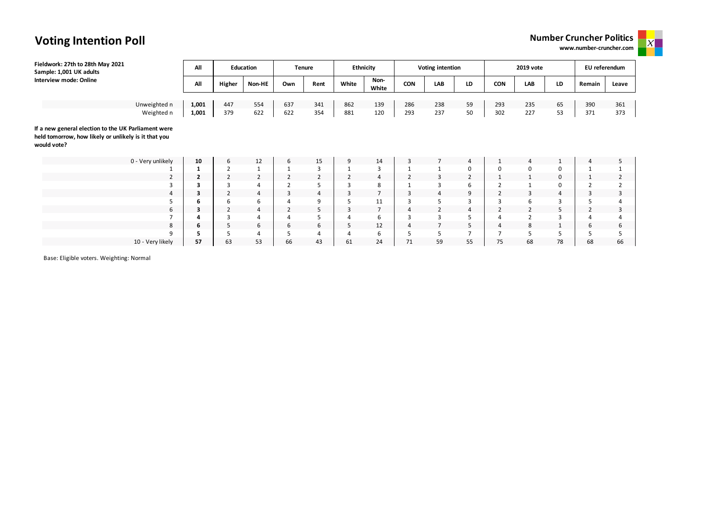### **Number Cruncher Politics**

**www.number-cruncher.com**



# **Voting Intention Poll**

| Fieldwork: 27th to 28th May 2021<br>Sample: 1,001 UK adults                                                                | All                     |                | <b>Education</b> |                | <b>Tenure</b>  | <b>Ethnicity</b> |                |                | Voting intention |                |                | 2019 vote      |              | EU referendum |                |
|----------------------------------------------------------------------------------------------------------------------------|-------------------------|----------------|------------------|----------------|----------------|------------------|----------------|----------------|------------------|----------------|----------------|----------------|--------------|---------------|----------------|
| Interview mode: Online                                                                                                     | All                     | Higher         | Non-HE           | Own            | Rent           | White            | Non-<br>White  | <b>CON</b>     | LAB              | LD             | <b>CON</b>     | <b>LAB</b>     | LD           | Remain        | Leave          |
|                                                                                                                            |                         |                |                  |                |                |                  |                |                |                  |                |                |                |              |               |                |
| Unweighted n                                                                                                               | 1,001                   | 447            | 554              | 637            | 341            | 862              | 139            | 286            | 238              | 59             | 293            | 235            | 65           | 390           | 361            |
| Weighted n                                                                                                                 | 1,001                   | 379            | 622              | 622            | 354            | 881              | 120            | 293            | 237              | 50             | 302            | 227            | 53           | 371           | 373            |
| If a new general election to the UK Parliament were<br>held tomorrow, how likely or unlikely is it that you<br>would vote? |                         |                |                  |                |                |                  |                |                |                  |                |                |                |              |               |                |
| 0 - Very unlikely                                                                                                          | 10                      | 6              | 12               | 6              | 15             | 9                | 14             | 3              | $\overline{7}$   | 4              |                | $\overline{4}$ | $\mathbf{1}$ |               | 5              |
|                                                                                                                            | $\mathbf{1}$            | $\overline{2}$ | 1                |                | $\overline{3}$ |                  | 3              | $\mathbf{1}$   | 1                | 0              | 0              | 0              | $\mathbf 0$  |               |                |
| 2                                                                                                                          | $\overline{\mathbf{2}}$ | $\overline{2}$ | $\overline{2}$   | $\overline{2}$ | $\overline{2}$ | 2                | $\overline{4}$ | $\overline{2}$ | 3                | $\overline{2}$ |                |                | 0            |               | 2              |
|                                                                                                                            | 3                       | $\overline{3}$ | 4                | $\overline{2}$ | 5              |                  | 8              | $\mathbf{1}$   | 3                | 6              | $\overline{2}$ |                | 0            |               | $\overline{2}$ |
| 4                                                                                                                          | 3                       | $\overline{2}$ | 4                | 3              | 4              | 3                | $\overline{ }$ | 3              | 4                | 9              | $\overline{2}$ | 3              | 4            | 3             | 3              |
|                                                                                                                            | 6                       | 6              | 6                |                | 9              |                  | 11             | $\overline{3}$ | 5                | 3              | 3              | 6              | 3            |               | 4              |
| 6                                                                                                                          | 3                       | $\overline{2}$ | 4                | $\overline{2}$ | 5              | 3                | $\overline{7}$ | 4              | $\overline{2}$   | 4              | $\overline{2}$ | $\overline{2}$ | 5            |               | 3              |
|                                                                                                                            | 4                       | 3              | 4                |                | 5              |                  | 6              | 3              | 3                | 5              | 4              | $\overline{2}$ | 3            |               | 4              |
| 8                                                                                                                          | 6                       | 5              | 6                | 6              | 6              | 5                | 12             | $\overline{4}$ | $\overline{7}$   | 5              | 4              | 8              | $\mathbf{1}$ | 6             | 6              |
| 9                                                                                                                          | 5                       | 5              | 4                | 5              | $\overline{4}$ |                  | 6              | 5              | 5                | $\overline{7}$ | ⇁              | 5              | 5            |               | 5              |
| 10 - Very likely                                                                                                           | 57                      | 63             | 53               | 66             | 43             | 61               | 24             | 71             | 59               | 55             | 75             | 68             | 78           | 68            | 66             |

Base: Eligible voters. Weighting: Normal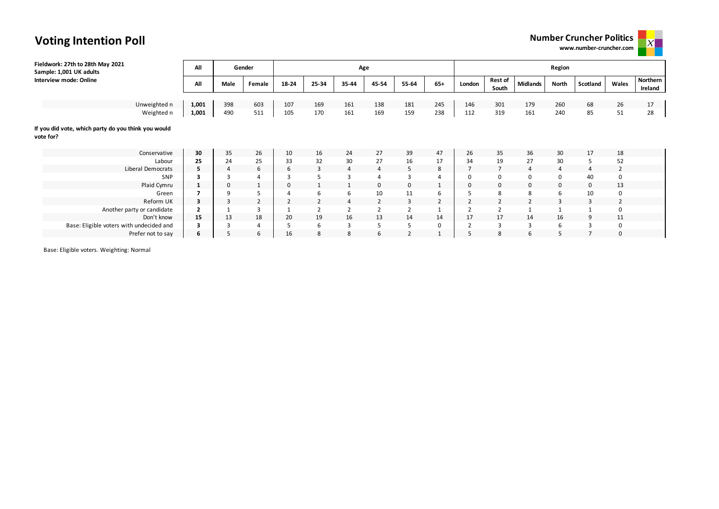



| Fieldwork: 27th to 28th May 2021<br>Sample: 1,001 UK adults      | All                     |                | Gender         |                |       | Age   |          |                |                |                |                         |                 | Region       |                |                |                     |
|------------------------------------------------------------------|-------------------------|----------------|----------------|----------------|-------|-------|----------|----------------|----------------|----------------|-------------------------|-----------------|--------------|----------------|----------------|---------------------|
| <b>Interview mode: Online</b>                                    | All                     | Male           | Female         | 18-24          | 25-34 | 35-44 | 45-54    | 55-64          | $65+$          | London         | <b>Rest of</b><br>South | <b>Midlands</b> | <b>North</b> | Scotland       | Wales          | Northern<br>Ireland |
|                                                                  |                         |                |                |                |       |       |          |                |                |                |                         |                 |              |                |                |                     |
| Unweighted n                                                     | 1,001                   | 398            | 603            | 107            | 169   | 161   | 138      | 181            | 245            | 146            | 301                     | 179             | 260          | 68             | 26             | 17                  |
| Weighted n                                                       | 1,001                   | 490            | 511            | 105            | 170   | 161   | 169      | 159            | 238            | 112            | 319                     | 161             | 240          | 85             | 51             | 28                  |
| If you did vote, which party do you think you would<br>vote for? |                         |                |                |                |       |       |          |                |                |                |                         |                 |              |                |                |                     |
| Conservative                                                     | 30                      | 35             | 26             | 10             | 16    | 24    | 27       | 39             | 47             | 26             | 35                      | 36              | 30           | 17             | 18             |                     |
| Labour                                                           | 25                      | 24             | 25             | 33             | 32    | 30    | 27       | 16             | 17             | 34             | 19                      | 27              | 30           | 5              | 52             |                     |
| Liberal Democrats                                                | 5                       | $\overline{4}$ | 6              | 6              | 3     | 4     | 4        | 5              | 8              |                | $\overline{ }$          | 4               | 4            | 4              | $\overline{2}$ |                     |
| SNP                                                              | 3                       |                | $\overline{4}$ | 3              |       |       |          | $\overline{3}$ | 4              |                | 0                       | 0               | $\mathbf 0$  | 40             | 0              |                     |
| Plaid Cymru                                                      | $\mathbf{1}$            | $\mathbf 0$    |                | $\mathbf 0$    |       |       | $\Omega$ | $\mathbf 0$    |                | 0              | 0                       | $\mathbf 0$     | $\mathbf 0$  | $\mathbf 0$    | 13             |                     |
| Green                                                            | $\overline{7}$          | q              | 5              | 4              | 6     | 6     | 10       | 11             | 6              |                | 8                       | 8               | 6            | 10             | $\Omega$       |                     |
| Reform UK                                                        | $\overline{\mathbf{3}}$ | 3              | $\overline{2}$ | $\overline{2}$ |       | 4     |          | 3              | $\overline{2}$ | $\overline{2}$ |                         | $\overline{2}$  | 3            | 3              |                |                     |
| Another party or candidate                                       | $\overline{2}$          |                | $\overline{3}$ |                |       |       |          | $\overline{2}$ |                |                |                         | $\mathbf{1}$    |              |                |                |                     |
| Don't know                                                       | 15                      | 13             | 18             | 20             | 19    | 16    | 13       | 14             | 14             | 17             | 17                      | 14              | 16           | 9              | 11             |                     |
| Base: Eligible voters with undecided and                         | 3                       |                | $\overline{4}$ | 5              | 6     |       |          | 5              | 0              |                | 3                       | 3               | 6            | 3              | 0              |                     |
| Prefer not to say                                                | 6                       |                | 6              | 16             | 8     | 8     | 6        | $\overline{2}$ |                | 5              | 8                       | 6               | 5            | $\overline{7}$ | 0              |                     |

Base: Eligible voters. Weighting: Normal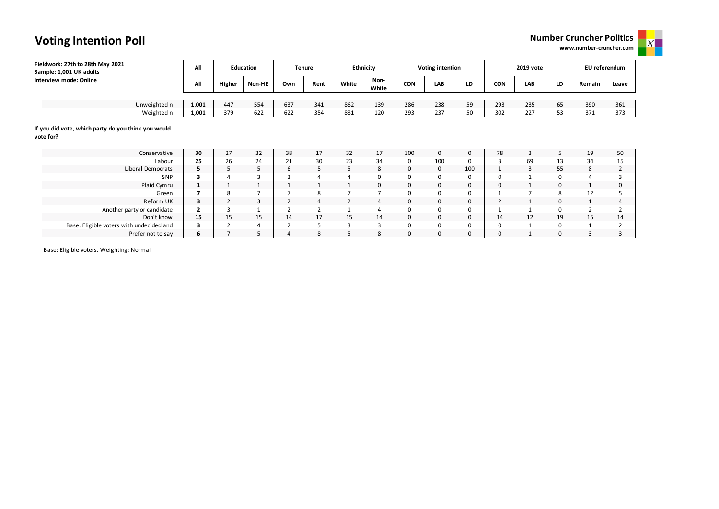### **Number Cruncher Politics**

**www.number-cruncher.com**

 $\mathbf{x}$ 

| Fieldwork: 27th to 28th May 2021<br>Sample: 1,001 UK adults      | All                     |                | <b>Education</b> |                | <b>Tenure</b>  |                | Ethnicity     |             | Voting intention |             |                | 2019 vote      |             | EU referendum |                |
|------------------------------------------------------------------|-------------------------|----------------|------------------|----------------|----------------|----------------|---------------|-------------|------------------|-------------|----------------|----------------|-------------|---------------|----------------|
| Interview mode: Online                                           | All                     | Higher         | Non-HE           | Own            | Rent           | White          | Non-<br>White | CON         | LAB              | LD          | <b>CON</b>     | LAB            | LD          | Remain        | Leave          |
|                                                                  |                         |                |                  |                |                |                |               |             |                  |             |                |                |             |               |                |
| Unweighted n                                                     | 1,001                   | 447            | 554              | 637            | 341            | 862            | 139           | 286         | 238              | 59          | 293            | 235            | 65          | 390           | 361            |
| Weighted n                                                       | 1,001                   | 379            | 622              | 622            | 354            | 881            | 120           | 293         | 237              | 50          | 302            | 227            | 53          | 371           | 373            |
| If you did vote, which party do you think you would<br>vote for? |                         |                |                  |                |                |                |               |             |                  |             |                |                |             |               |                |
| Conservative                                                     | 30                      | 27             | 32               | 38             | 17             | 32             | 17            | 100         | $\mathbf 0$      | $\mathbf 0$ | 78             | 3              | 5           | 19            | 50             |
| Labour                                                           | 25                      | 26             | 24               | 21             | 30             | 23             | 34            | 0           | 100              | 0           | 3              | 69             | 13          | 34            | 15             |
| Liberal Democrats                                                | 5                       | 5              | 5                | 6              | 5              | 5              | 8             | $\mathbf 0$ | $\mathbf 0$      | 100         | 1              | 3              | 55          | 8             | $\overline{2}$ |
| SNP                                                              | 3                       | 4              | 3                | 3              |                |                | $\Omega$      | $\Omega$    | $\mathbf 0$      | 0           | 0              |                | 0           |               | 3              |
| Plaid Cymru                                                      | $\mathbf{1}$            | $\mathbf{1}$   | 1                |                |                |                | 0             | 0           | 0                | 0           | 0              |                | 0           |               | 0              |
| Green                                                            | $\overline{\mathbf{z}}$ | 8              | $\overline{7}$   |                | 8              |                |               | $\Omega$    | $\mathbf 0$      | 0           |                | $\overline{7}$ | 8           | 12            | 5              |
| Reform UK                                                        | 3                       | $\overline{2}$ | 3                | $\overline{2}$ | 4              | $\overline{2}$ | 4             | $\mathbf 0$ | $\mathbf 0$      | $\mathbf 0$ | $\overline{2}$ |                | $\mathbf 0$ |               | $\overline{4}$ |
| Another party or candidate                                       | $\overline{2}$          | 3              | $\mathbf{1}$     |                | $\overline{2}$ |                | 4             | 0           | $\mathbf 0$      | 0           |                |                | 0           |               | $\overline{2}$ |
| Don't know                                                       | 15                      | 15             | 15               | 14             | 17             | 15             | 14            | 0           | $\mathbf 0$      | $\mathbf 0$ | 14             | 12             | 19          | 15            | 14             |
| Base: Eligible voters with undecided and                         | 3                       | $\overline{2}$ | 4                | $\overline{2}$ | 5              | 3              | 3             | $\Omega$    | $\mathbf 0$      | 0           | 0              |                | 0           |               | 2              |
| Prefer not to say                                                | 6                       | $\overline{7}$ | 5                | 4              | 8              | 5              | 8             | $\Omega$    | $\mathbf 0$      | 0           | 0              | $\mathbf{1}$   | 0           | 3             | 3              |

Base: Eligible voters. Weighting: Normal

## **Voting Intention Poll**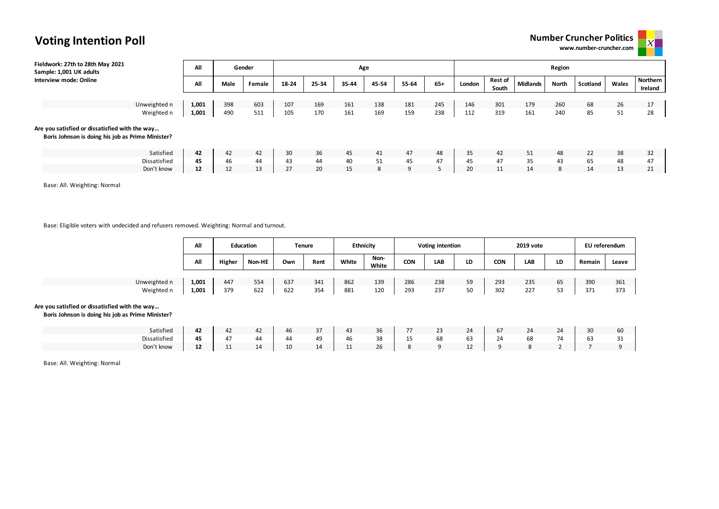|  | <b>Number Cruncher Politics</b> |  |  |
|--|---------------------------------|--|--|
|--|---------------------------------|--|--|

www.number-cruncher.co

| ς |  |  |
|---|--|--|
| m |  |  |

| Fieldwork: 27th to 28th May 2021<br>Sample: 1,001 UK adults                                         | All   |      | Gender |       |       | Age   |       |       |       |        |         |                 | Region |          |       |          |
|-----------------------------------------------------------------------------------------------------|-------|------|--------|-------|-------|-------|-------|-------|-------|--------|---------|-----------------|--------|----------|-------|----------|
| Interview mode: Online                                                                              | All   | Male | Female | 18-24 | 25-34 | 35-44 | 45-54 | 55-64 | $65+$ | London | Rest of | <b>Midlands</b> | North  | Scotland | Wales | Northern |
|                                                                                                     |       |      |        |       |       |       |       |       |       |        | South   |                 |        |          |       | Ireland  |
|                                                                                                     |       |      |        |       |       |       |       |       |       |        |         |                 |        |          |       |          |
| Unweighted n                                                                                        | 1,001 | 398  | 603    | 107   | 169   | 161   | 138   | 181   | 245   | 146    | 301     | 179             | 260    | 68       | 26    | 17       |
| Weighted n                                                                                          | 1,001 | 490  | 511    | 105   | 170   | 161   | 169   | 159   | 238   | 112    | 319     | 161             | 240    | 85       | 51    | 28       |
| Are you satisfied or dissatisfied with the way<br>Boris Johnson is doing his job as Prime Minister? |       |      |        |       |       |       |       |       |       |        |         |                 |        |          |       |          |
| Satisfied                                                                                           | 42    | 42   | 42     | 30    | 36    | 45    | 41    | 47    | 48    | 35     | 42      | 51              | 48     | 22       | 38    | 32       |
| Dissatisfied                                                                                        | 45    | 46   | 44     | 43    | 44    | 40    | 51    | 45    | 47    | 45     | 47      | 35              | 43     | 65       | 48    | 47       |
| Don't know                                                                                          | 12    | 12   | 13     | 27    | 20    | 15    | 8     | 9     | 5     | 20     | 11      | 14              | 8      | 14       | 13    | 21       |

Base: All. Weighting: Normal

Base: Eligible voters with undecided and refusers removed. Weighting: Normal and turnout.

|              | All   |        | <b>Education</b> |     | <b>Tenure</b> |       | <b>Ethnicity</b> |            | <b>Voting intention</b> |    |            | 2019 vote |    | EU referendum |       |
|--------------|-------|--------|------------------|-----|---------------|-------|------------------|------------|-------------------------|----|------------|-----------|----|---------------|-------|
|              | All   | Higher | Non-HE           | Own | Rent          | White | Non-<br>White    | <b>CON</b> | LAB                     | LD | <b>CON</b> | LAB       | LD | Remain        | Leave |
|              |       |        |                  |     |               |       |                  |            |                         |    |            |           |    |               |       |
| Unweighted n | 1,001 | 447    | 554              | 637 | 341           | 862   | 139              | 286        | 238                     | 59 | 293        | 235       | 65 | 390           | 361   |
| Weighted n   | 1,001 | 379    | 622              | 622 | 354           | 881   | 120              | 293        | 237                     | 50 | 302        | 227       | 53 | 371           | 373   |

#### **Are you satisfied or dissatisfied with the way…**

**Boris Johnson is doing his job as Prime Minister?**

| Satisfied    | $\sim$<br>42 |    | $\sim$<br>44 | 46 | $\sim$<br>$\mathcal{I}'$<br>$\sim$ | 43                    | 36 | $- -$ | $\mathbf{r}$ | 21<br>4 | $\overline{\phantom{a}}$<br>b/ | 24 | 24 | $\sim$<br>3U | 60                 |
|--------------|--------------|----|--------------|----|------------------------------------|-----------------------|----|-------|--------------|---------|--------------------------------|----|----|--------------|--------------------|
| Dissatisfied | 45           |    | 44           | 44 | 49                                 | 46                    | 38 |       | 68           | $\sim$  | 24                             |    | 74 | ხ≾           | $\mathbf{a}$<br>JТ |
| Don't know   | $\sim$<br>ᅩ  | -- | 14           | 10 | 14                                 | $\overline{A}$<br>. . | 26 |       |              | --      |                                |    |    |              |                    |

Base: All. Weighting: Normal